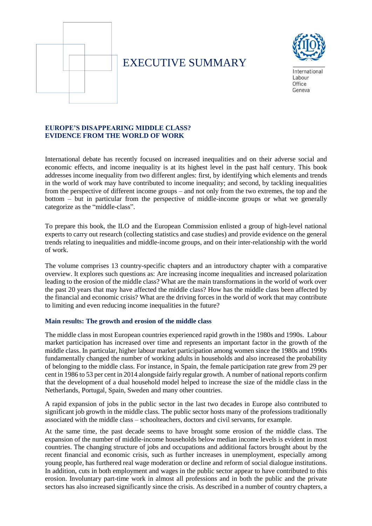

# EXECUTIVE SUMMARY



International Labour Office Geneva

## **EUROPE'S DISAPPEARING MIDDLE CLASS? EVIDENCE FROM THE WORLD OF WORK**

International debate has recently focused on increased inequalities and on their adverse social and economic effects, and income inequality is at its highest level in the past half century. This book addresses income inequality from two different angles: first, by identifying which elements and trends in the world of work may have contributed to income inequality; and second, by tackling inequalities from the perspective of different income groups – and not only from the two extremes, the top and the bottom – but in particular from the perspective of middle-income groups or what we generally categorize as the "middle-class".

To prepare this book, the ILO and the European Commission enlisted a group of high-level national experts to carry out research (collecting statistics and case studies) and provide evidence on the general trends relating to inequalities and middle-income groups, and on their inter-relationship with the world of work.

The volume comprises 13 country-specific chapters and an introductory chapter with a comparative overview. It explores such questions as: Are increasing income inequalities and increased polarization leading to the erosion of the middle class? What are the main transformations in the world of work over the past 20 years that may have affected the middle class? How has the middle class been affected by the financial and economic crisis? What are the driving forces in the world of work that may contribute to limiting and even reducing income inequalities in the future?

### **Main results: The growth and erosion of the middle class**

The middle class in most European countries experienced rapid growth in the 1980s and 1990s. Labour market participation has increased over time and represents an important factor in the growth of the middle class. In particular, higher labour market participation among women since the 1980s and 1990s fundamentally changed the number of working adults in households and also increased the probability of belonging to the middle class. For instance, in Spain, the female participation rate grew from 29 per cent in 1986 to 53 per cent in 2014 alongside fairly regular growth. A number of national reports confirm that the development of a dual household model helped to increase the size of the middle class in the Netherlands, Portugal, Spain, Sweden and many other countries.

A rapid expansion of jobs in the public sector in the last two decades in Europe also contributed to significant job growth in the middle class. The public sector hosts many of the professions traditionally associated with the middle class – schoolteachers, doctors and civil servants, for example.

At the same time, the past decade seems to have brought some erosion of the middle class. The expansion of the number of middle-income households below median income levels is evident in most countries. The changing structure of jobs and occupations and additional factors brought about by the recent financial and economic crisis, such as further increases in unemployment, especially among young people, has furthered real wage moderation or decline and reform of social dialogue institutions. In addition, cuts in both employment and wages in the public sector appear to have contributed to this erosion. Involuntary part-time work in almost all professions and in both the public and the private sectors has also increased significantly since the crisis. As described in a number of country chapters, a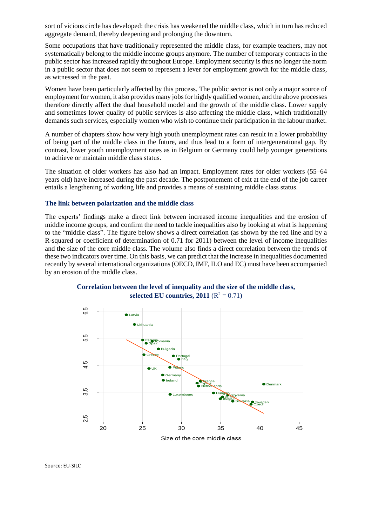sort of vicious circle has developed: the crisis has weakened the middle class, which in turn has reduced aggregate demand, thereby deepening and prolonging the downturn.

Some occupations that have traditionally represented the middle class, for example teachers, may not systematically belong to the middle income groups anymore. The number of temporary contracts in the public sector has increased rapidly throughout Europe. Employment security is thus no longer the norm in a public sector that does not seem to represent a lever for employment growth for the middle class, as witnessed in the past.

Women have been particularly affected by this process. The public sector is not only a major source of employment for women, it also provides many jobs for highly qualified women, and the above processes therefore directly affect the dual household model and the growth of the middle class. Lower supply and sometimes lower quality of public services is also affecting the middle class, which traditionally demands such services, especially women who wish to continue their participation in the labour market.

A number of chapters show how very high youth unemployment rates can result in a lower probability of being part of the middle class in the future, and thus lead to a form of intergenerational gap. By contrast, lower youth unemployment rates as in Belgium or Germany could help younger generations to achieve or maintain middle class status.

The situation of older workers has also had an impact. Employment rates for older workers (55–64 years old) have increased during the past decade. The postponement of exit at the end of the job career entails a lengthening of working life and provides a means of sustaining middle class status.

#### **The link between polarization and the middle class**

The experts' findings make a direct link between increased income inequalities and the erosion of middle income groups, and confirm the need to tackle inequalities also by looking at what is happening to the "middle class". The figure below shows a direct correlation (as shown by the red line and by a R-squared or coefficient of determination of 0.71 for 2011) between the level of income inequalities and the size of the core middle class. The volume also finds a direct correlation between the trends of these two indicators over time. On this basis, we can predict that the increase in inequalities documented recently by several international organizations (OECD, IMF, ILO and EC) must have been accompanied by an erosion of the middle class.





Source: EU-SILC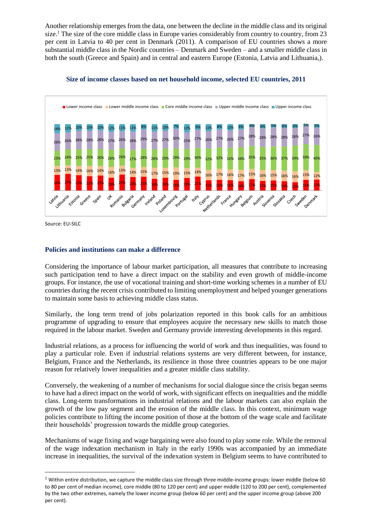Another relationship emerges from the data, one between the decline in the middle class and its original size.<sup>1</sup> The size of the core middle class in Europe varies considerably from country to country, from 23 per cent in Latvia to 40 per cent in Denmark (2011). A comparison of EU countries shows a more substantial middle class in the Nordic countries – Denmark and Sweden – and a smaller middle class in both the south (Greece and Spain) and in central and eastern Europe (Estonia, Latvia and Lithuania,).



**Size of income classes based on net household income, selected EU countries, 2011**

Source: EU-SILC

1

## **Policies and institutions can make a difference**

Considering the importance of labour market participation, all measures that contribute to increasing such participation tend to have a direct impact on the stability and even growth of middle-income groups. For instance, the use of vocational training and short-time working schemes in a number of EU countries during the recent crisis contributed to limiting unemployment and helped younger generations to maintain some basis to achieving middle class status.

Similarly, the long term trend of jobs polarization reported in this book calls for an ambitious programme of upgrading to ensure that employees acquire the necessary new skills to match those required in the labour market. Sweden and Germany provide interesting developments in this regard.

Industrial relations, as a process for influencing the world of work and thus inequalities, was found to play a particular role. Even if industrial relations systems are very different between, for instance, Belgium, France and the Netherlands, its resilience in those three countries appears to be one major reason for relatively lower inequalities and a greater middle class stability.

Conversely, the weakening of a number of mechanisms for social dialogue since the crisis began seems to have had a direct impact on the world of work, with significant effects on inequalities and the middle class. Long-term transformations in industrial relations and the labour markets can also explain the growth of the low pay segment and the erosion of the middle class. In this context, minimum wage policies contribute to lifting the income position of those at the bottom of the wage scale and facilitate their households' progression towards the middle group categories.

Mechanisms of wage fixing and wage bargaining were also found to play some role. While the removal of the wage indexation mechanism in Italy in the early 1990s was accompanied by an immediate increase in inequalities, the survival of the indexation system in Belgium seems to have contributed to

 $1$  Within entire distribution, we capture the middle class size through three middle-income groups: lower middle (below 60 to 80 per cent of median income), core middle (80 to 120 per cent) and upper middle (120 to 200 per cent), complemented by the two other extremes, namely the lower income group (below 60 per cent) and the upper income group (above 200 per cent).